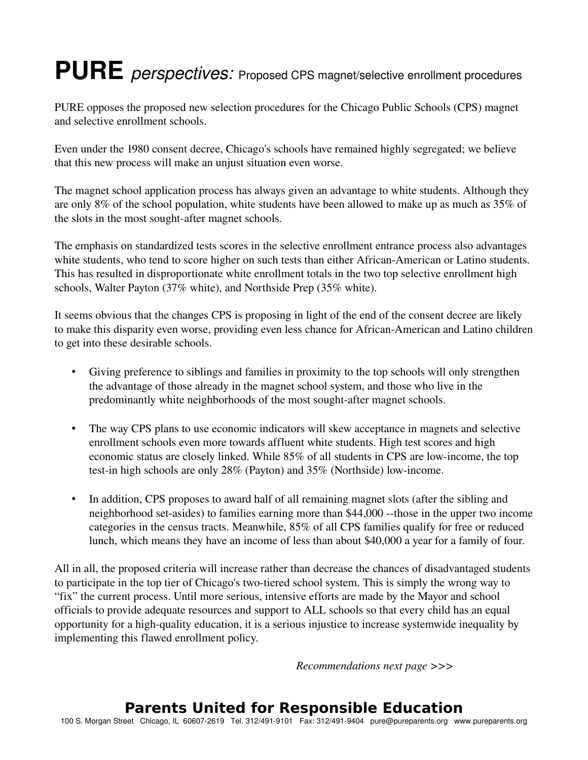## PURE *perspectives:* Proposed CPS magnet/selective enrollment procedures

PURE opposes the proposed new selection procedures for the Chicago Public Schools (CPS) magnet and selective enrollment schools.

Even under the 1980 consent decree, Chicago's schools have remained highly segregated; we believe that this new process will make an unjust situation even worse.

The magnet school application process has always given an advantage to white students. Although they are only 8% of the school population, white students have been allowed to make up as much as 35% of the slots in the most sought-after magnet schools.

The emphasis on standardized tests scores in the selective enrollment entrance process also advantages white students, who tend to score higher on such tests than either African-American or Latino students. This has resulted in disproportionate white enrollment totals in the two top selective enrollment high schools, Walter Payton (37% white), and Northside Prep (35% white).

It seems obvious that the changes CPS is proposing in light of the end of the consent decree are likely to make this disparity even worse, providing even less chance for African-American and Latino children to get into these desirable schools.

- Giving preference to siblings and families in proximity to the top schools will only strengthen the advantage of those already in the magnet school system, and those who live in the predominantly white neighborhoods of the most sought-after magnet schools.
- The way CPS plans to use economic indicators will skew acceptance in magnets and selective enrollment schools even more towards affluent white students. High test scores and high economic status are closely linked. While 85% of all students in CPS are lowincome, the top test-in high schools are only  $28\%$  (Payton) and  $35\%$  (Northside) low-income.
- In addition, CPS proposes to award half of all remaining magnet slots (after the sibling and neighborhood set-asides) to families earning more than \$44,000 --those in the upper two income categories in the census tracts. Meanwhile, 85% of all CPS families qualify for free or reduced lunch, which means they have an income of less than about \$40,000 a year for a family of four.

All in all, the proposed criteria will increase rather than decrease the chances of disadvantaged students to participate in the top tier of Chicago's two-tiered school system. This is simply the wrong way to "fix" the current process. Until more serious, intensive efforts are made by the Mayor and school officials to provide adequate resources and support to ALL schools so that every child has an equal opportunity for a high-quality education, it is a serious injustice to increase systemwide inequality by implementing this flawed enrollment policy.

*Recommendations next page >>>*

## **Parents United for Responsible Education**

100 S. Morgan Street Chicago, IL 60607-2619 Tel. 312/491-9101 Fax: 312/491-9404 pure@pureparents.org www.pureparents.org